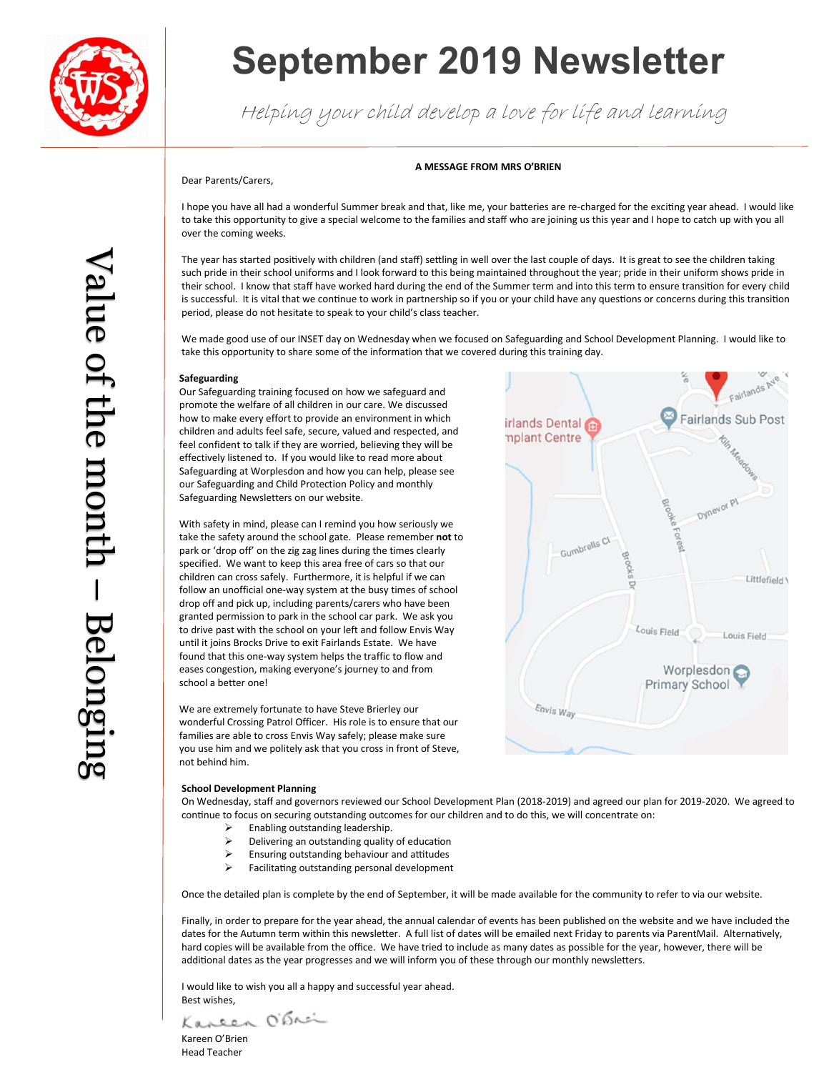

# **September 2019 Newsletter**

Helping your child develop a love for life and learning

### **A MESSAGE FROM MRS O'BRIEN**

Dear Parents/Carers,

I hope you have all had a wonderful Summer break and that, like me, your batteries are re-charged for the exciting year ahead. I would like to take this opportunity to give a special welcome to the families and staff who are joining us this year and I hope to catch up with you all over the coming weeks.

The year has started positively with children (and staff) settling in well over the last couple of days. It is great to see the children taking such pride in their school uniforms and I look forward to this being maintained throughout the year; pride in their uniform shows pride in their school. I know that staff have worked hard during the end of the Summer term and into this term to ensure transition for every child is successful. It is vital that we continue to work in partnership so if you or your child have any questions or concerns during this transition period, please do not hesitate to speak to your child's class teacher.

We made good use of our INSET day on Wednesday when we focused on Safeguarding and School Development Planning. I would like to take this opportunity to share some of the information that we covered during this training day.

#### **Safeguarding**

Our Safeguarding training focused on how we safeguard and promote the welfare of all children in our care. We discussed how to make every effort to provide an environment in which children and adults feel safe, secure, valued and respected, and feel confident to talk if they are worried, believing they will be effectively listened to. If you would like to read more about Safeguarding at Worplesdon and how you can help, please see our Safeguarding and Child Protection Policy and monthly Safeguarding Newsletters on our website.

With safety in mind, please can I remind you how seriously we take the safety around the school gate. Please remember **not** to park or 'drop off' on the zig zag lines during the times clearly specified. We want to keep this area free of cars so that our children can cross safely. Furthermore, it is helpful if we can follow an unofficial one-way system at the busy times of school drop off and pick up, including parents/carers who have been granted permission to park in the school car park. We ask you to drive past with the school on your left and follow Envis Way until it joins Brocks Drive to exit Fairlands Estate. We have found that this one-way system helps the traffic to flow and eases congestion, making everyone's journey to and from school a better one!

We are extremely fortunate to have Steve Brierley our wonderful Crossing Patrol Officer. His role is to ensure that our families are able to cross Envis Way safely; please make sure you use him and we politely ask that you cross in front of Steve, not behind him.

#### **School Development Planning**

On Wednesday, staff and governors reviewed our School Development Plan (2018-2019) and agreed our plan for 2019-2020. We agreed to continue to focus on securing outstanding outcomes for our children and to do this, we will concentrate on:

- $\geq$  Enabling outstanding leadership.<br>  $\geq$  Delivering an outstanding quality
- Delivering an outstanding quality of education
- $\triangleright$  Ensuring outstanding behaviour and attitudes
- $\triangleright$  Facilitating outstanding personal development

Once the detailed plan is complete by the end of September, it will be made available for the community to refer to via our website.

Finally, in order to prepare for the year ahead, the annual calendar of events has been published on the website and we have included the dates for the Autumn term within this newsletter. A full list of dates will be emailed next Friday to parents via ParentMail. Alternatively, hard copies will be available from the office. We have tried to include as many dates as possible for the year, however, there will be additional dates as the year progresses and we will inform you of these through our monthly newsletters.

I would like to wish you all a happy and successful year ahead. Best wishes,

Kaneen Obrai

Kareen O'Brien Head Teacher

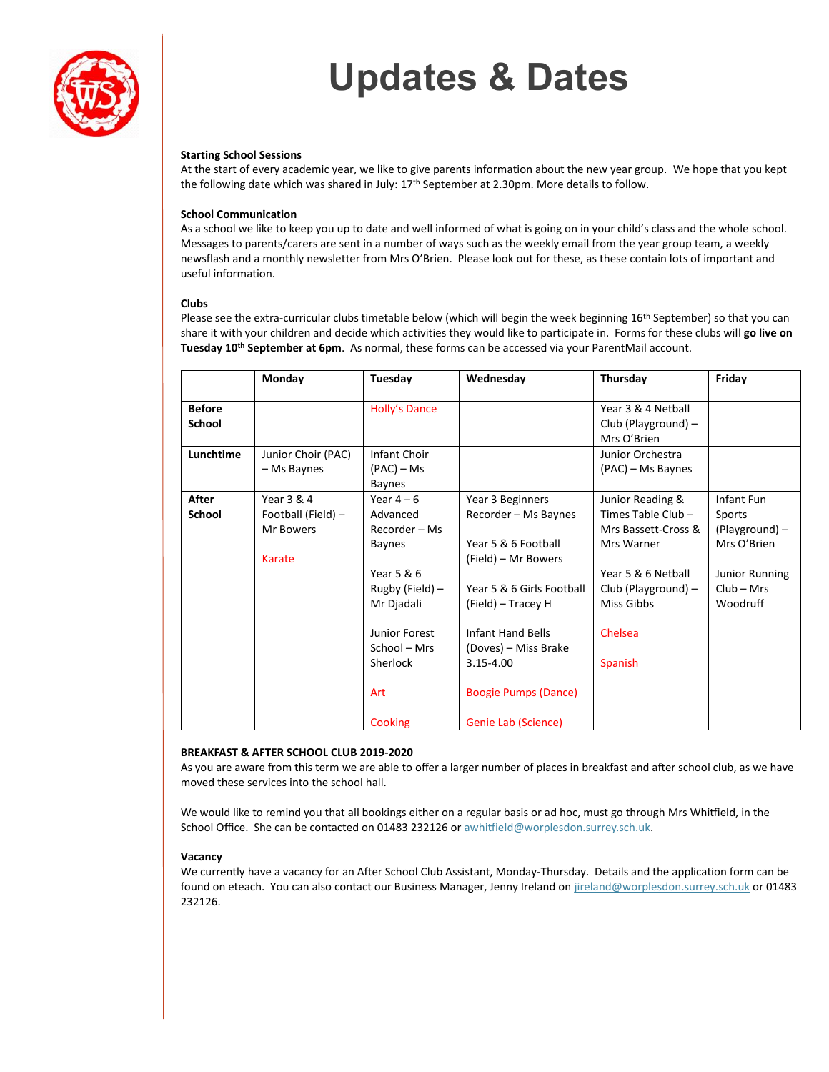# **Updates & Dates**



# **Starting School Sessions**

At the start of every academic year, we like to give parents information about the new year group. We hope that you kept the following date which was shared in July: 17<sup>th</sup> September at 2.30pm. More details to follow.

# **School Communication**

As a school we like to keep you up to date and well informed of what is going on in your child's class and the whole school. Messages to parents/carers are sent in a number of ways such as the weekly email from the year group team, a weekly newsflash and a monthly newsletter from Mrs O'Brien. Please look out for these, as these contain lots of important and useful information.

## **Clubs**

Please see the extra-curricular clubs timetable below (which will begin the week beginning 16<sup>th</sup> September) so that you can share it with your children and decide which activities they would like to participate in. Forms for these clubs will **go live on Tuesday 10th September at 6pm**. As normal, these forms can be accessed via your ParentMail account.

|                                | Monday                                                  | Tuesday                                                                                                                           | Wednesday                                                                                                                                                                              | Thursday                                                                                                                                          | Friday                                                                                              |
|--------------------------------|---------------------------------------------------------|-----------------------------------------------------------------------------------------------------------------------------------|----------------------------------------------------------------------------------------------------------------------------------------------------------------------------------------|---------------------------------------------------------------------------------------------------------------------------------------------------|-----------------------------------------------------------------------------------------------------|
| <b>Before</b><br><b>School</b> |                                                         | Holly's Dance                                                                                                                     |                                                                                                                                                                                        | Year 3 & 4 Netball<br>Club (Playground) -<br>Mrs O'Brien                                                                                          |                                                                                                     |
| Lunchtime                      | Junior Choir (PAC)<br>- Ms Baynes                       | <b>Infant Choir</b><br>(PAC) – Ms<br><b>Baynes</b>                                                                                |                                                                                                                                                                                        | Junior Orchestra<br>(PAC) – Ms Baynes                                                                                                             |                                                                                                     |
| After<br>School                | Year 3 & 4<br>Football (Field) -<br>Mr Bowers<br>Karate | Year $4-6$<br>Advanced<br>Recorder – Ms<br>Baynes<br>Year 5 & 6<br>Rugby (Field) –<br>Mr Djadali<br>Junior Forest<br>School – Mrs | Year 3 Beginners<br>Recorder - Ms Baynes<br>Year 5 & 6 Football<br>(Field) – Mr Bowers<br>Year 5 & 6 Girls Football<br>(Field) – Tracey H<br>Infant Hand Bells<br>(Doves) – Miss Brake | Junior Reading &<br>Times Table Club -<br>Mrs Bassett-Cross &<br>Mrs Warner<br>Year 5 & 6 Netball<br>Club (Playground) -<br>Miss Gibbs<br>Chelsea | Infant Fun<br>Sports<br>(Playground) –<br>Mrs O'Brien<br>Junior Running<br>$Club - Mrs$<br>Woodruff |
|                                |                                                         | Sherlock<br>Art<br><b>Cooking</b>                                                                                                 | $3.15 - 4.00$<br><b>Boogie Pumps (Dance)</b><br>Genie Lab (Science)                                                                                                                    | Spanish                                                                                                                                           |                                                                                                     |

# **BREAKFAST & AFTER SCHOOL CLUB 2019-2020**

As you are aware from this term we are able to offer a larger number of places in breakfast and after school club, as we have moved these services into the school hall.

We would like to remind you that all bookings either on a regular basis or ad hoc, must go through Mrs Whitfield, in the School Office. She can be contacted on 01483 232126 or awhitfield@worplesdon.surrey.sch.uk.

### **Vacancy**

We currently have a vacancy for an After School Club Assistant, Monday-Thursday. Details and the application form can be found on eteach. You can also contact our Business Manager, Jenny Ireland o[n jireland@worplesdon.surrey.sch.uk](mailto:jireland@worplesdon.surrey.sch.uk) or 01483 232126.